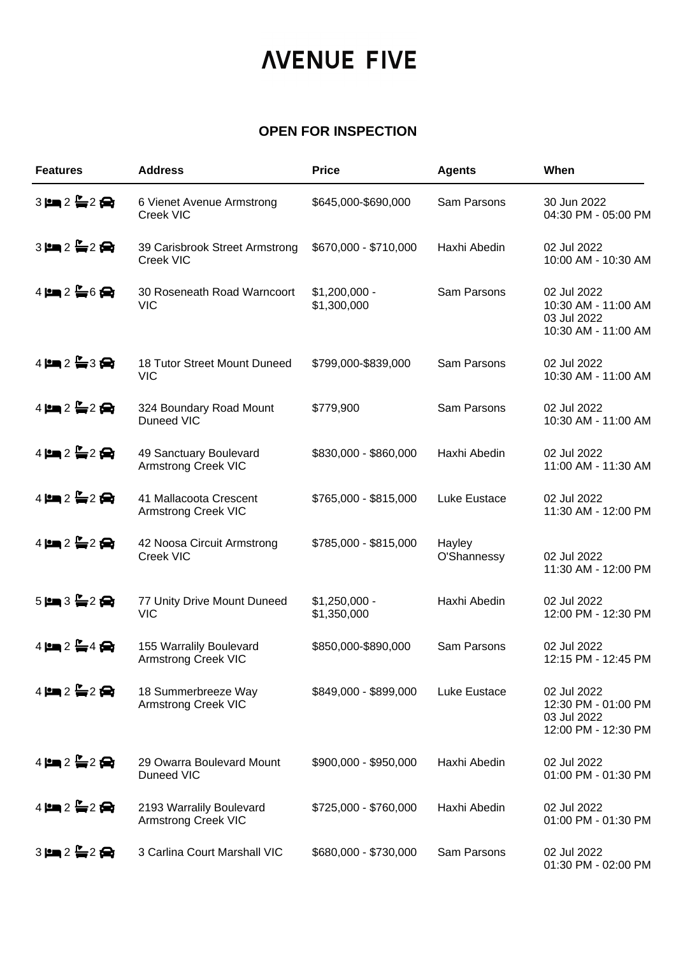## *NENUE FIVE*

## **OPEN FOR INSPECTION**

| <b>Features</b>                                             | <b>Address</b>                                         | <b>Price</b>                  | <b>Agents</b>         | When                                                                     |
|-------------------------------------------------------------|--------------------------------------------------------|-------------------------------|-----------------------|--------------------------------------------------------------------------|
| $3 \mathbf{H}$ $2 \mathbf{H}$ $2 \mathbf{H}$                | 6 Vienet Avenue Armstrong<br>Creek VIC                 | \$645,000-\$690,000           | Sam Parsons           | 30 Jun 2022<br>04:30 PM - 05:00 PM                                       |
| $3 \mathbf{m} 2 \mathbf{m} 2 \mathbf{m}$                    | 39 Carisbrook Street Armstrong<br>Creek VIC            | \$670,000 - \$710,000         | Haxhi Abedin          | 02 Jul 2022<br>10:00 AM - 10:30 AM                                       |
| $4$ $\mathbf{2}$ $\mathbf{L}$ 6                             | 30 Roseneath Road Warncoort<br><b>VIC</b>              | $$1,200,000 -$<br>\$1,300,000 | Sam Parsons           | 02 Jul 2022<br>10:30 AM - 11:00 AM<br>03 Jul 2022<br>10:30 AM - 11:00 AM |
| $4$ $\approx 2$ $\approx 3$ $\approx$                       | 18 Tutor Street Mount Duneed<br><b>VIC</b>             | \$799,000-\$839,000           | Sam Parsons           | 02 Jul 2022<br>10:30 AM - 11:00 AM                                       |
| $4$ $\mathbf{2}$ $\mathbf{C}$ $2$ $\mathbf{C}$              | 324 Boundary Road Mount<br>Duneed VIC                  | \$779,900                     | Sam Parsons           | 02 Jul 2022<br>10:30 AM - 11:00 AM                                       |
| $4$ $\mu$ $\approx$ $2 \Leftrightarrow$ $2 \Leftrightarrow$ | 49 Sanctuary Boulevard<br><b>Armstrong Creek VIC</b>   | \$830,000 - \$860,000         | Haxhi Abedin          | 02 Jul 2022<br>11:00 AM - 11:30 AM                                       |
| $4$ $\mathbf{2}$ $\mathbf{C}$ $2$ $\mathbf{C}$              | 41 Mallacoota Crescent<br><b>Armstrong Creek VIC</b>   | \$765,000 - \$815,000         | Luke Eustace          | 02 Jul 2022<br>11:30 AM - 12:00 PM                                       |
| $4 \,$ $\mu$ $\approx 2 \,$ $\oplus$ $\approx$              | 42 Noosa Circuit Armstrong<br>Creek VIC                | \$785,000 - \$815,000         | Hayley<br>O'Shannessy | 02 Jul 2022<br>11:30 AM - 12:00 PM                                       |
| $5$ $\equiv$ $3 \equiv 2 \Leftrightarrow$                   | 77 Unity Drive Mount Duneed<br><b>VIC</b>              | $$1,250,000 -$<br>\$1,350,000 | Haxhi Abedin          | 02 Jul 2022<br>12:00 PM - 12:30 PM                                       |
| $4$ $2 - 4$ $\bigoplus$                                     | 155 Warralily Boulevard<br><b>Armstrong Creek VIC</b>  | \$850,000-\$890,000           | Sam Parsons           | 02 Jul 2022<br>12:15 PM - 12:45 PM                                       |
| $4$ $\mu$ $\approx$ $2 \Leftrightarrow$ $2 \Leftrightarrow$ | 18 Summerbreeze Way<br><b>Armstrong Creek VIC</b>      | \$849,000 - \$899,000         | Luke Eustace          | 02 Jul 2022<br>12:30 PM - 01:00 PM<br>03 Jul 2022<br>12:00 PM - 12:30 PM |
| $4$ $\mathbf{2}$ $\mathbf{C}$ $2$ $\mathbf{C}$              | 29 Owarra Boulevard Mount<br>Duneed VIC                | \$900,000 - \$950,000         | Haxhi Abedin          | 02 Jul 2022<br>01:00 PM - 01:30 PM                                       |
| $4 \mathbf{m} 2 \mathbf{m} 2 \mathbf{m}$                    | 2193 Warralily Boulevard<br><b>Armstrong Creek VIC</b> | \$725,000 - \$760,000         | Haxhi Abedin          | 02 Jul 2022<br>01:00 PM - 01:30 PM                                       |
| $3 \, \text{km} \, 2 \, \text{km} \, 2 \, \text{km}$        | 3 Carlina Court Marshall VIC                           | \$680,000 - \$730,000         | Sam Parsons           | 02 Jul 2022<br>01:30 PM - 02:00 PM                                       |